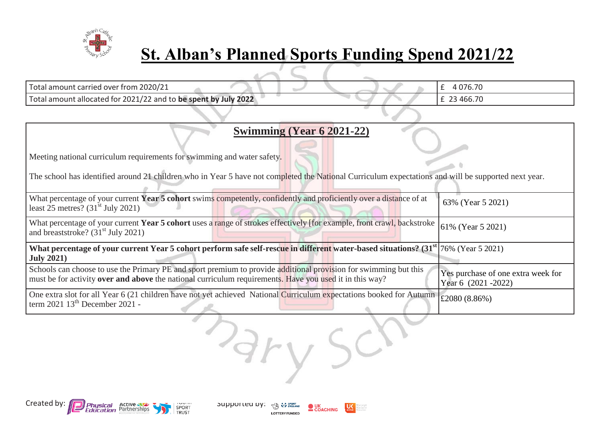

## **St. Alban's Planned Sports Funding Spend 2021/22**

| Total amount carried over from 2020/21                          |  | 4 0 7 6 . 7 0 |
|-----------------------------------------------------------------|--|---------------|
| Total amount allocated for 2021/22 and to be spent by July 2022 |  | £ 23 466.70   |
|                                                                 |  |               |

| Swimming (Year 6 2021-22)                                                                                                                                                                                                          |                                                              |
|------------------------------------------------------------------------------------------------------------------------------------------------------------------------------------------------------------------------------------|--------------------------------------------------------------|
|                                                                                                                                                                                                                                    |                                                              |
| Meeting national curriculum requirements for swimming and water safety.                                                                                                                                                            |                                                              |
| The school has identified around 21 children who in Year 5 have not completed the National Curriculum expectations and will be supported next year.                                                                                |                                                              |
| What percentage of your current Year 5 cohort swims competently, confidently and proficiently over a distance of at<br>least 25 metres? $(31st$ July 2021)                                                                         | 63% (Year 5 2021)                                            |
| What percentage of your current Year 5 cohort uses a range of strokes effectively [for example, front crawl, backstroke<br>and breaststroke? $(31st$ July 2021)                                                                    | 61% (Year 5 2021)                                            |
| What percentage of your current Year 5 cohort perform safe self-rescue in different water-based situations? (31 <sup>st</sup> 76% (Year 5 2021)<br><b>July 2021)</b>                                                               |                                                              |
| Schools can choose to use the Primary PE and sport premium to provide additional provision for swimming but this<br>must be for activity <b>over and above</b> the national curriculum requirements. Have you used it in this way? | Yes purchase of one extra week for<br>Year 6 $(2021 - 2022)$ |
| One extra slot for all Year 6 (21 children have not yet achieved National Curriculum expectations booked for Autumn<br>term $2021 \ 13th$ December 2021 -                                                                          | £2080 (8.86%)                                                |

Dary Sch



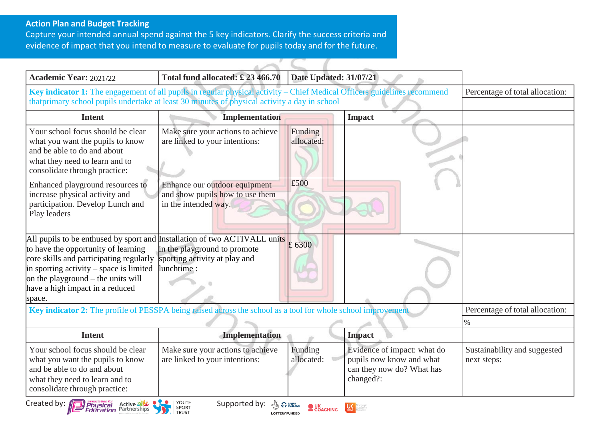## **Action Plan and Budget Tracking**

Capture your intended annual spend against the 5 key indicators. Clarify the success criteria and evidence of impact that you intend to measure to evaluate for pupils today and for the future.

| <b>Academic Year: 2021/22</b>                                                                                                                                                                                                                                                               | Total fund allocated: £23 466.70                                                                                       | <b>Date Updated: 31/07/21</b> |                                                                                                   |                                             |
|---------------------------------------------------------------------------------------------------------------------------------------------------------------------------------------------------------------------------------------------------------------------------------------------|------------------------------------------------------------------------------------------------------------------------|-------------------------------|---------------------------------------------------------------------------------------------------|---------------------------------------------|
| Key indicator 1: The engagement of all pupils in regular physical activity - Chief Medical Officers guidelines recommend<br>thatprimary school pupils undertake at least 30 minutes of physical activity a day in school                                                                    |                                                                                                                        |                               |                                                                                                   | Percentage of total allocation:             |
| <b>Intent</b>                                                                                                                                                                                                                                                                               | <b>Implementation</b>                                                                                                  |                               | <b>Impact</b>                                                                                     |                                             |
| Your school focus should be clear<br>what you want the pupils to know<br>and be able to do and about<br>what they need to learn and to<br>consolidate through practice:                                                                                                                     | Make sure your actions to achieve<br>are linked to your intentions:                                                    | Funding<br>allocated:         |                                                                                                   |                                             |
| Enhanced playground resources to<br>increase physical activity and<br>participation. Develop Lunch and<br>Play leaders                                                                                                                                                                      | Enhance our outdoor equipment<br>and show pupils how to use them<br>in the intended way.                               | £500                          |                                                                                                   |                                             |
| All pupils to be enthused by sport and Installation of two ACTIVALL units<br>to have the opportunity of learning<br>core skills and participating regularly<br>in sporting activity – space is limited<br>on the playground $-$ the units will<br>have a high impact in a reduced<br>space. | in the playground to promote<br>sporting activity at play and<br>lunchtime:                                            | £ 6300                        |                                                                                                   |                                             |
| Key indicator 2: The profile of PESSPA being raised across the school as a tool for whole school improvement                                                                                                                                                                                |                                                                                                                        |                               |                                                                                                   | Percentage of total allocation:             |
|                                                                                                                                                                                                                                                                                             |                                                                                                                        |                               |                                                                                                   | $\%$                                        |
| <b>Intent</b>                                                                                                                                                                                                                                                                               | Implementation                                                                                                         |                               | <b>Impact</b>                                                                                     |                                             |
| Your school focus should be clear<br>what you want the pupils to know<br>and be able to do and about<br>what they need to learn and to<br>consolidate through practice:                                                                                                                     | Make sure your actions to achieve<br>are linked to your intentions:                                                    | Funding<br>allocated:         | Evidence of impact: what do<br>pupils now know and what<br>can they now do? What has<br>changed?: | Sustainability and suggested<br>next steps: |
| Created by: <b>Physical</b> Active                                                                                                                                                                                                                                                          | YOUTH<br>Supported by: $\frac{1}{\sqrt{2}}$ of $\frac{1}{\sqrt{2}}$ of $\frac{1}{\sqrt{2}}$ COACHING<br>SPORT<br>TRUST |                               |                                                                                                   |                                             |

**LOTTERY FUNDED**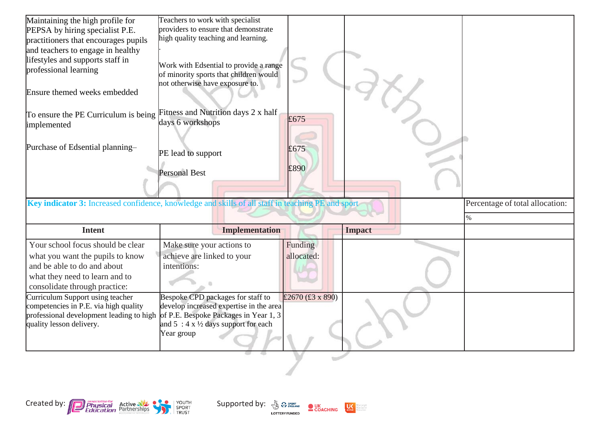| Maintaining the high profile for<br>PEPSA by hiring specialist P.E.<br>practitioners that encourages pupils<br>and teachers to engage in healthy<br>lifestyles and supports staff in<br>professional learning | Teachers to work with specialist<br>providers to ensure that demonstrate<br>high quality teaching and learning.<br>Work with Edsential to provide a range<br>of minority sports that children would<br>not otherwise have exposure to. |                       |      |                                 |
|---------------------------------------------------------------------------------------------------------------------------------------------------------------------------------------------------------------|----------------------------------------------------------------------------------------------------------------------------------------------------------------------------------------------------------------------------------------|-----------------------|------|---------------------------------|
| Ensure themed weeks embedded<br>To ensure the PE Curriculum is being<br>implemented                                                                                                                           | Fitness and Nutrition days 2 x half<br>days 6 workshops                                                                                                                                                                                | £675                  |      |                                 |
| Purchase of Edsential planning-                                                                                                                                                                               | PE lead to support<br><b>Personal Best</b>                                                                                                                                                                                             | £675<br>£890          |      |                                 |
|                                                                                                                                                                                                               |                                                                                                                                                                                                                                        |                       |      | Percentage of total allocation: |
| Key indicator 3: Increased confidence, knowledge and skills of all staff in teaching PE and sport                                                                                                             |                                                                                                                                                                                                                                        |                       |      |                                 |
| <b>Intent</b>                                                                                                                                                                                                 | <b>Implementation</b>                                                                                                                                                                                                                  | <b>Impact</b>         | $\%$ |                                 |
| Your school focus should be clear<br>what you want the pupils to know<br>and be able to do and about<br>what they need to learn and to                                                                        | Make sure your actions to<br>achieve are linked to your<br>intentions:                                                                                                                                                                 | Funding<br>allocated: |      |                                 |
| consolidate through practice:<br>Curriculum Support using teacher<br>competencies in P.E. via high quality<br>professional development leading to high<br>quality lesson delivery.                            | Bespoke CPD packages for staff to<br>develop increased expertise in the area<br>of P.E. Bespoke Packages in Year 1, 3<br>and $5:4 \times \frac{1}{2}$ days support for each<br>Year group                                              | £2670 (£3 x 890)      |      |                                 |



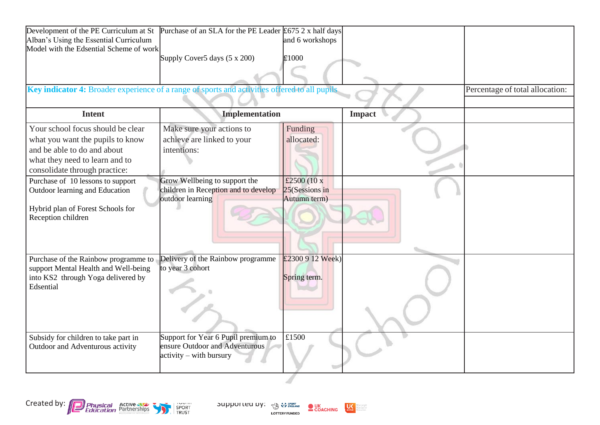| Development of the PE Curriculum at St                                                        | Purchase of an SLA for the PE Leader $£675$ 2 x half days |                                   |               |                                 |
|-----------------------------------------------------------------------------------------------|-----------------------------------------------------------|-----------------------------------|---------------|---------------------------------|
| Alban's Using the Essential Curriculum                                                        |                                                           | and 6 workshops                   |               |                                 |
| Model with the Edsential Scheme of work                                                       | Supply Cover5 days (5 x 200)                              | £1000                             |               |                                 |
|                                                                                               |                                                           |                                   |               |                                 |
|                                                                                               |                                                           |                                   |               |                                 |
| Key indicator 4: Broader experience of a range of sports and activities offered to all pupils |                                                           |                                   |               | Percentage of total allocation: |
|                                                                                               |                                                           |                                   |               |                                 |
| <b>Intent</b>                                                                                 | <b>Implementation</b>                                     |                                   | <b>Impact</b> |                                 |
| Your school focus should be clear                                                             | Make sure your actions to                                 | Funding                           |               |                                 |
| what you want the pupils to know                                                              | achieve are linked to your                                | allocated:                        |               |                                 |
| and be able to do and about                                                                   | intentions:                                               |                                   |               |                                 |
| what they need to learn and to                                                                |                                                           |                                   |               |                                 |
| consolidate through practice:                                                                 |                                                           |                                   |               |                                 |
| Purchase of 10 lessons to support                                                             | Grow Wellbeing to support the                             | £2500 $(10 x)$                    |               |                                 |
| Outdoor learning and Education                                                                | children in Reception and to develop<br>outdoor learning  | $25$ (Sessions in<br>Autumn term) |               |                                 |
| Hybrid plan of Forest Schools for                                                             |                                                           |                                   |               |                                 |
| Reception children                                                                            |                                                           |                                   |               |                                 |
|                                                                                               |                                                           |                                   |               |                                 |
|                                                                                               |                                                           |                                   |               |                                 |
|                                                                                               |                                                           |                                   |               |                                 |
| Purchase of the Rainbow programme to                                                          | Delivery of the Rainbow programme                         | £2300 9 12 Week)                  |               |                                 |
| support Mental Health and Well-being                                                          | to year 3 cohort                                          |                                   |               |                                 |
| into KS2 through Yoga delivered by                                                            |                                                           | Spring term.                      |               |                                 |
| Edsential                                                                                     |                                                           |                                   |               |                                 |
|                                                                                               |                                                           |                                   |               |                                 |
|                                                                                               |                                                           |                                   |               |                                 |
|                                                                                               |                                                           |                                   |               |                                 |
| Subsidy for children to take part in                                                          | Support for Year 6 Pupil premium to                       | £1500                             |               |                                 |
| Outdoor and Adventurous activity                                                              | ensure Outdoor and Adventurous                            |                                   |               |                                 |
|                                                                                               | $\text{activity} - \text{with}$ bursury                   |                                   |               |                                 |
|                                                                                               |                                                           |                                   |               |                                 |
|                                                                                               |                                                           |                                   |               |                                 |



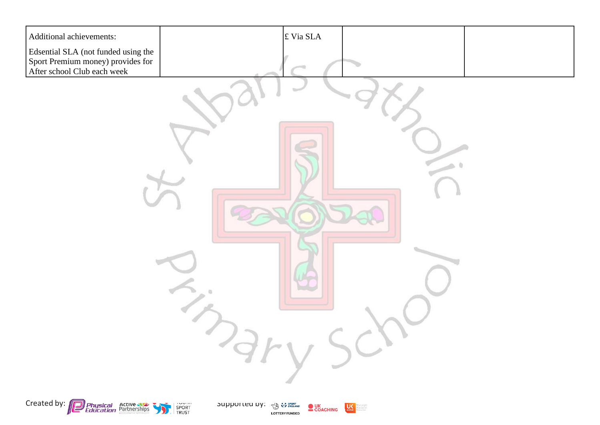





 $U<sub>other</sub>$ dore people<br>dore active<br>dore of ten